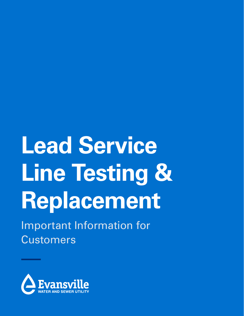# **Lead Service Line Testing & Replacement**

Important Information for **Customers** 

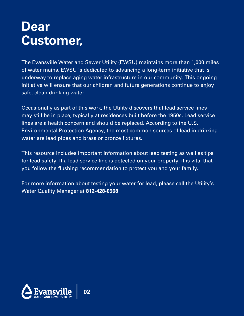# **Dear Customer,**

The Evansville Water and Sewer Utility (EWSU) maintains more than 1,000 miles of water mains. EWSU is dedicated to advancing a long-term initiative that is underway to replace aging water infrastructure in our community. This ongoing initiative will ensure that our children and future generations continue to enjoy safe, clean drinking water.

Occasionally as part of this work, the Utility discovers that lead service lines may still be in place, typically at residences built before the 1950s. Lead service lines are a health concern and should be replaced. According to the U.S. Environmental Protection Agency, the most common sources of lead in drinking water are lead pipes and brass or bronze fixtures.

This resource includes important information about lead testing as well as tips for lead safety. If a lead service line is detected on your property, it is vital that you follow the flushing recommendation to protect you and your family.

For more information about testing your water for lead, please call the Utility's Water Quality Manager at **812-428-0568**.

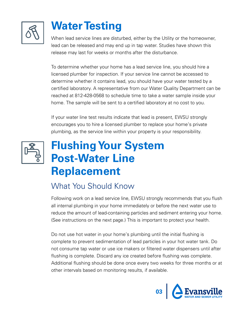

# **Water Testing**

When lead service lines are disturbed, either by the Utility or the homeowner, lead can be released and may end up in tap water. Studies have shown this release may last for weeks or months after the disturbance.

To determine whether your home has a lead service line, you should hire a licensed plumber for inspection. If your service line cannot be accessed to determine whether it contains lead, you should have your water tested by a certified laboratory. A representative from our Water Quality Department can be reached at 812-428-0568 to schedule time to take a water sample inside your home. The sample will be sent to a certified laboratory at no cost to you.

If your water line test results indicate that lead is present, EWSU strongly encourages you to hire a licensed plumber to replace your home's private plumbing, as the service line within your property is your responsibility.



## **Flushing Your System Post-Water Line Replacement**

### What You Should Know

Following work on a lead service line, EWSU strongly recommends that you flush all internal plumbing in your home immediately or before the next water use to reduce the amount of lead-containing particles and sediment entering your home. (See instructions on the next page.) This is important to protect your health.

Do not use hot water in your home's plumbing until the initial flushing is complete to prevent sedimentation of lead particles in your hot water tank. Do not consume tap water or use ice makers or filtered water dispensers until after flushing is complete. Discard any ice created before flushing was complete. Additional flushing should be done once every two weeks for three months or at other intervals based on monitoring results, if available.

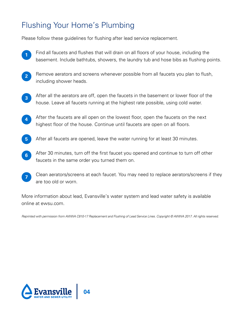### Flushing Your Home's Plumbing

Please follow these guidelines for flushing after lead service replacement.

- **<sup>1</sup>** Find all faucets and flushes that will drain on all floors of your house, including the basement. Include bathtubs, showers, the laundry tub and hose bibs as flushing points.
- **2** Remove aerators and screens whenever possible from all faucets you plan to flush, including shower heads.
- **3** After all the aerators are off, open the faucets in the basement or lower floor of the house. Leave all faucets running at the highest rate possible, using cold water.
- **4** After the faucets are all open on the lowest floor, open the faucets on the next highest floor of the house. Continue until faucets are open on all floors.
- **5** After all faucets are opened, leave the water running for at least 30 minutes.
- **6** After 30 minutes, turn off the first faucet you opened and continue to turn off other faucets in the same order you turned them on.
- **7** Clean aerators/screens at each faucet. You may need to replace aerators/screens if they are too old or worn.

More information about lead, Evansville's water system and lead water safety is available online at ewsu.com.

Reprinted with permission from AWWA C810-17 Replacement and Flushing of Lead Service Lines. Copyright © AWWA 2017. All rights reserved.

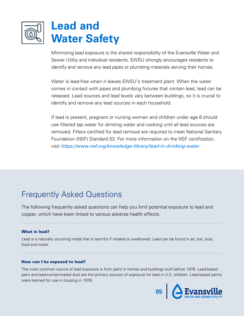

Minimizing lead exposure is the shared responsibility of the Evansville Water and Sewer Utility and individual residents. EWSU strongly encourages residents to identify and remove any lead pipes or plumbing materials serving their homes.

Water is lead-free when it leaves EWSU's treatment plant. When the water comes in contact with pipes and plumbing fixtures that contain lead, lead can be released. Lead sources and lead levels vary between buildings, so it is crucial to identify and remove any lead sources in each household.

If lead is present, pregnant or nursing women and children under age 6 should use filtered tap water for drinking water and cooking until all lead sources are removed. Filters certified for lead removal are required to meet National Sanitary Foundation (NSF) Standard 53. For more information on the NSF certification, visit https://www.nsf.org/knowledge-library/lead-in-drinking-water.

### Frequently Asked Questions

The following frequently asked questions can help you limit potential exposure to lead and copper, which have been linked to various adverse health effects.

#### What is lead?

Lead is a naturally occurring metal that is harmful if inhaled or swallowed. Lead can be found in air, soil, dust, food and water.

#### How can I be exposed to lead?

The most common source of lead exposure is from paint in homes and buildings built before 1978. Lead-based paint and lead-contaminated dust are the primary sources of exposure for lead in U.S. children. Lead-based paints were banned for use in housing in 1978.

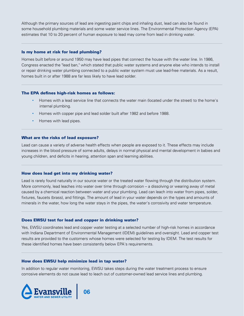Although the primary sources of lead are ingesting paint chips and inhaling dust, lead can also be found in some household plumbing materials and some water service lines. The Environmental Protection Agency (EPA) estimates that 10 to 20 percent of human exposure to lead may come from lead in drinking water.

#### Is my home at risk for lead plumbing?

Homes built before or around 1950 may have lead pipes that connect the house with the water line. In 1986, Congress enacted the "lead ban," which stated that public water systems and anyone else who intends to install or repair drinking water plumbing connected to a public water system must use lead-free materials. As a result, homes built in or after 1988 are far less likely to have lead solder.

#### The EPA defines high-risk homes as follows:

- Homes with a lead service line that connects the water main (located under the street) to the home's internal plumbing.
- Homes with copper pipe and lead solder built after 1982 and before 1988.
- Homes with lead pipes.

#### What are the risks of lead exposure?

Lead can cause a variety of adverse health effects when people are exposed to it. These effects may include increases in the blood pressure of some adults, delays in normal physical and mental development in babies and young children, and deficits in hearing, attention span and learning abilities.

#### How does lead get into my drinking water?

Lead is rarely found naturally in our source water or the treated water flowing through the distribution system. More commonly, lead leaches into water over time through corrosion – a dissolving or wearing away of metal caused by a chemical reaction between water and your plumbing. Lead can leach into water from pipes, solder, fixtures, faucets (brass), and fittings. The amount of lead in your water depends on the types and amounts of minerals in the water, how long the water stays in the pipes, the water's corrosivity and water temperature.

#### Does EWSU test for lead and copper in drinking water?

Yes, EWSU coordinates lead and copper water testing at a selected number of high-risk homes in accordance with Indiana Department of Environmental Management (IDEM) guidelines and oversight. Lead and copper test results are provided to the customers whose homes were selected for testing by IDEM. The test results for these identified homes have been consistently below EPA's requirements.

#### How does EWSU help minimize lead in tap water?

In addition to regular water monitoring, EWSU takes steps during the water treatment process to ensure corrosive elements do not cause lead to leach out of customer-owned lead service lines and plumbing.

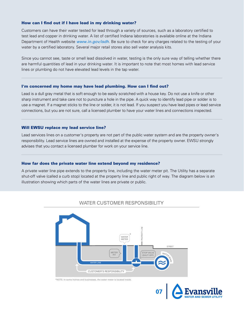#### How can I find out if I have lead in my drinking water?

Customers can have their water tested for lead through a variety of sources, such as a laboratory certified to test lead and copper in drinking water. A list of certified Indiana laboratories is available online at the Indiana Department of Health website www.in.gov/isdh. Be sure to check for any charges related to the testing of your water by a certified laboratory. Several major retail stores also sell water analysis kits.

Since you cannot see, taste or smell lead dissolved in water, testing is the only sure way of telling whether there are harmful quantities of lead in your drinking water. It is important to note that most homes with lead service lines or plumbing do not have elevated lead levels in the tap water.

#### I'm concerned my home may have lead plumbing. How can I find out?

Lead is a dull gray metal that is soft enough to be easily scratched with a house key. Do not use a knife or other sharp instrument and take care not to puncture a hole in the pipe. A quick way to identify lead pipe or solder is to use a magnet. If a magnet sticks to the line or solder, it is not lead. If you suspect you have lead pipes or lead service connections, but you are not sure, call a licensed plumber to have your water lines and connections inspected.

#### Will EWSU replace my lead service line?

Lead services lines on a customer's property are not part of the public water system and are the property owner's responsibility. Lead service lines are owned and installed at the expense of the property owner. EWSU strongly advises that you contact a licensed plumber for work on your service line.

#### How far does the private water line extend beyond my residence?

A private water line pipe extends to the property line, including the water meter pit. The Utility has a separate shut-off valve (called a curb stop) located at the property line and public right of way. The diagram below is an illustration showing which parts of the water lines are private or public.



#### WATER CUSTOMER RESPONSIBILITY

\*NOTE: In some homes and businesses, the water meter is located inside.

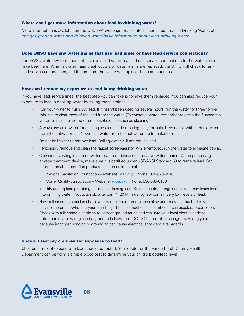#### Where can I get more information about lead in drinking water?

More information is available on the U.S. EPA webpage, Basic Information about Lead in Drinking Water, at epa.gov/ground-water-and-drinking-water/basic-information-about-lead-drinking-water.

#### Does EWSU have any water mains that use lead pipes or have lead service connections?

The EWSU water system does not have any lead water mains. Lead service connections to the water main have been rare. When a water main break occurs or water mains are replaced, the Utility will check for any lead service connections, and if identified, the Utility will replace those connections.

#### How can I reduce my exposure to lead in my drinking water

If you have lead service lines, the best step you can take is to have them replaced. You can also reduce your exposure to lead in drinking water by taking these actions:

- Run your water to flush out lead. If it hasn't been used for several hours, run the water for three to five minutes to clear most of the lead from the water. (To conserve water, remember to catch the flushed tap water for plants or some other household use such as cleaning.)
- Always use cold water for drinking, cooking and preparing baby formula. Never cook with or drink water from the hot water tap. Never use water from the hot water tap to make formula.
- Do not boil water to remove lead. Boiling water will not reduce lead.
- Periodically remove and clean the faucet screen/aerator. While removed, run the water to eliminate debris.
- Consider investing in a home water treatment device or alternative water source. When purchasing a water treatment device, make sure it is certified under NSF/ANSI Standard 53 to remove lead. For information about certified products, search online or call:
	- National Sanitation Foundation Website: nsf.org; Phone: 800-673-8010
	- Water Quality Association Website: wqa.org; Phone: 630-505-0160
- Identify and replace plumbing fixtures containing lead. Brass faucets, fittings and valves may leach lead into drinking water. Products sold after Jan. 4, 2014, must by law contain very low levels of lead.
- Have a licensed electrician check your wiring. Your home electrical system may be attached to your service line or elsewhere in your plumbing. If this connection is electrified, it can accelerate corrosion. Check with a licensed electrician to correct ground faults and evaluate your local electric code to determine if your wiring can be grounded elsewhere. DO NOT attempt to change the wiring yourself because improper bonding or grounding can cause electrical shock and fire hazards.

#### Should I test my children for exposure to lead?

Children at risk of exposure to lead should be tested. Your doctor or the Vanderburgh County Health Department can perform a simple blood test to determine your child's blood-lead level.

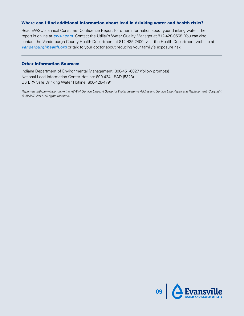#### Where can I find additional information about lead in drinking water and health risks?

Read EWSU's annual Consumer Confidence Report for other information about your drinking water. The report is online at ewsu.com. Contact the Utility's Water Quality Manager at 812-428-0568. You can also contact the Vanderburgh County Health Department at 812-435-2400, visit the Health Department website at vanderburghhealth.org or talk to your doctor about reducing your family's exposure risk.

#### Other Information Sources:

Indiana Department of Environmental Management: 800-451-6027 (follow prompts) National Lead Information Center Hotline: 800-424-LEAD (5323) US EPA Safe Drinking Water Hotline: 800-426-4791

Reprinted with permission from the AWWA Service Lines: A Guide for Water Systems Addressing Service Line Repair and Replacement. Copyright © AWWA 2017. All rights reserved.